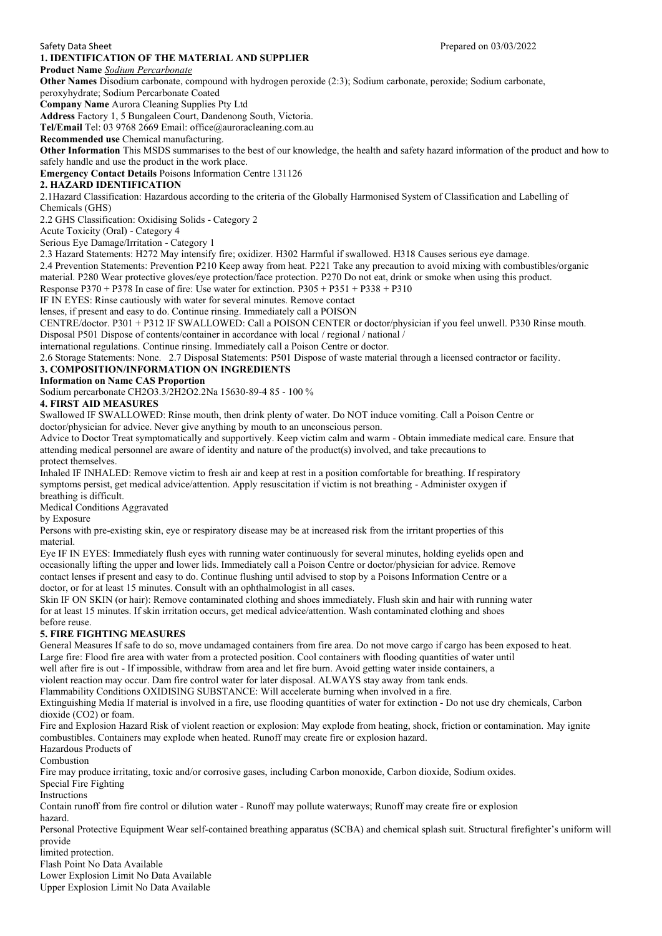### **1. IDENTIFICATION OF THE MATERIAL AND SUPPLIER**

# **Product Name** *Sodium Percarbonate*

**Other Names** Disodium carbonate, compound with hydrogen peroxide (2:3); Sodium carbonate, peroxide; Sodium carbonate,

peroxyhydrate; Sodium Percarbonate Coated **Company Name** Aurora Cleaning Supplies Pty Ltd

**Address** Factory 1, 5 Bungaleen Court, Dandenong South, Victoria.

**Tel/Email** Tel: 03 9768 2669 Email: office@auroracleaning.com.au

**Recommended use** Chemical manufacturing.

**Other Information** This MSDS summarises to the best of our knowledge, the health and safety hazard information of the product and how to safely handle and use the product in the work place.

**Emergency Contact Details** Poisons Information Centre 131126

### **2. HAZARD IDENTIFICATION**

2.1Hazard Classification: Hazardous according to the criteria of the Globally Harmonised System of Classification and Labelling of Chemicals (GHS)

2.2 GHS Classification: Oxidising Solids - Category 2

Acute Toxicity (Oral) - Category 4

Serious Eye Damage/Irritation - Category 1

2.3 Hazard Statements: H272 May intensify fire; oxidizer. H302 Harmful if swallowed. H318 Causes serious eye damage.

2.4 Prevention Statements: Prevention P210 Keep away from heat. P221 Take any precaution to avoid mixing with combustibles/organic material. P280 Wear protective gloves/eye protection/face protection. P270 Do not eat, drink or smoke when using this product.

Response P370 + P378 In case of fire: Use water for extinction.  $P305 + P351 + P338 + P310$ 

IF IN EYES: Rinse cautiously with water for several minutes. Remove contact

lenses, if present and easy to do. Continue rinsing. Immediately call a POISON

CENTRE/doctor. P301 + P312 IF SWALLOWED: Call a POISON CENTER or doctor/physician if you feel unwell. P330 Rinse mouth. Disposal P501 Dispose of contents/container in accordance with local / regional / national /

international regulations. Continue rinsing. Immediately call a Poison Centre or doctor.

2.6 Storage Statements: None. 2.7 Disposal Statements: P501 Dispose of waste material through a licensed contractor or facility.

## **3. COMPOSITION/INFORMATION ON INGREDIENTS**

### **Information on Name CAS Proportion**

Sodium percarbonate CH2O3.3/2H2O2.2Na 15630-89-4 85 - 100 %

### **4. FIRST AID MEASURES**

Swallowed IF SWALLOWED: Rinse mouth, then drink plenty of water. Do NOT induce vomiting. Call a Poison Centre or doctor/physician for advice. Never give anything by mouth to an unconscious person.

Advice to Doctor Treat symptomatically and supportively. Keep victim calm and warm - Obtain immediate medical care. Ensure that attending medical personnel are aware of identity and nature of the product(s) involved, and take precautions to protect themselves.

Inhaled IF INHALED: Remove victim to fresh air and keep at rest in a position comfortable for breathing. If respiratory symptoms persist, get medical advice/attention. Apply resuscitation if victim is not breathing - Administer oxygen if breathing is difficult.

Medical Conditions Aggravated

by Exposure

Persons with pre-existing skin, eye or respiratory disease may be at increased risk from the irritant properties of this material.

Eye IF IN EYES: Immediately flush eyes with running water continuously for several minutes, holding eyelids open and occasionally lifting the upper and lower lids. Immediately call a Poison Centre or doctor/physician for advice. Remove contact lenses if present and easy to do. Continue flushing until advised to stop by a Poisons Information Centre or a doctor, or for at least 15 minutes. Consult with an ophthalmologist in all cases.

Skin IF ON SKIN (or hair): Remove contaminated clothing and shoes immediately. Flush skin and hair with running water for at least 15 minutes. If skin irritation occurs, get medical advice/attention. Wash contaminated clothing and shoes before reuse.

#### **5. FIRE FIGHTING MEASURES**

General Measures If safe to do so, move undamaged containers from fire area. Do not move cargo if cargo has been exposed to heat. Large fire: Flood fire area with water from a protected position. Cool containers with flooding quantities of water until

well after fire is out - If impossible, withdraw from area and let fire burn. Avoid getting water inside containers, a

violent reaction may occur. Dam fire control water for later disposal. ALWAYS stay away from tank ends.

Flammability Conditions OXIDISING SUBSTANCE: Will accelerate burning when involved in a fire.

Extinguishing Media If material is involved in a fire, use flooding quantities of water for extinction - Do not use dry chemicals, Carbon dioxide (CO2) or foam.

Fire and Explosion Hazard Risk of violent reaction or explosion: May explode from heating, shock, friction or contamination. May ignite combustibles. Containers may explode when heated. Runoff may create fire or explosion hazard.

Hazardous Products of

Combustion

Fire may produce irritating, toxic and/or corrosive gases, including Carbon monoxide, Carbon dioxide, Sodium oxides.

Special Fire Fighting

Instructions

Contain runoff from fire control or dilution water - Runoff may pollute waterways; Runoff may create fire or explosion hazard.

Personal Protective Equipment Wear self-contained breathing apparatus (SCBA) and chemical splash suit. Structural firefighter's uniform will provide

limited protection.

Flash Point No Data Available

Lower Explosion Limit No Data Available

Upper Explosion Limit No Data Available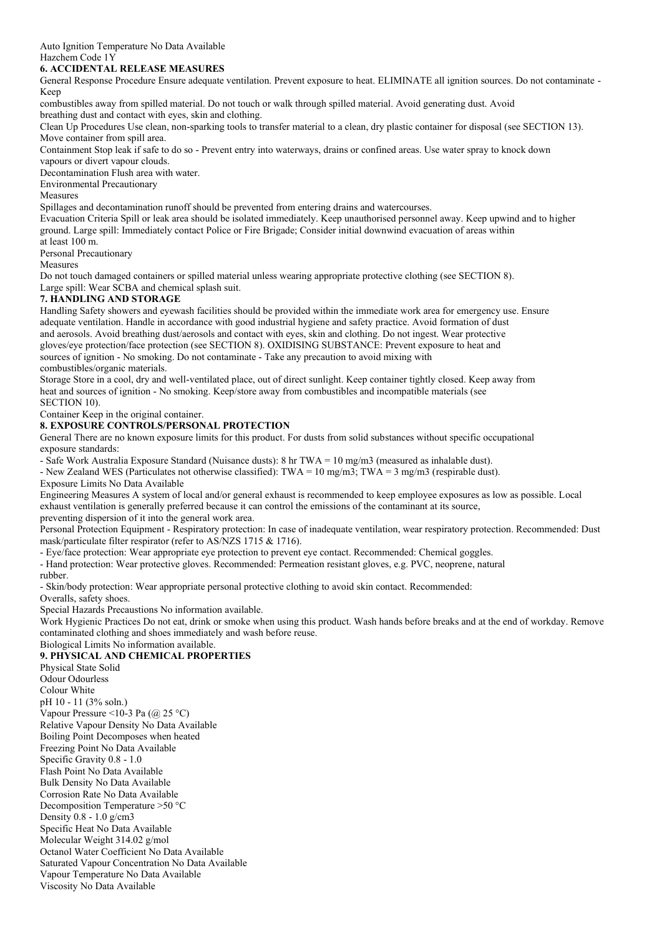Auto Ignition Temperature No Data Available Hazchem Code 1Y

### **6. ACCIDENTAL RELEASE MEASURES**

General Response Procedure Ensure adequate ventilation. Prevent exposure to heat. ELIMINATE all ignition sources. Do not contaminate - Keep

combustibles away from spilled material. Do not touch or walk through spilled material. Avoid generating dust. Avoid breathing dust and contact with eyes, skin and clothing.

Clean Up Procedures Use clean, non-sparking tools to transfer material to a clean, dry plastic container for disposal (see SECTION 13). Move container from spill area.

Containment Stop leak if safe to do so - Prevent entry into waterways, drains or confined areas. Use water spray to knock down vapours or divert vapour clouds.

Decontamination Flush area with water.

Environmental Precautionary

Measures

Spillages and decontamination runoff should be prevented from entering drains and watercourses.

Evacuation Criteria Spill or leak area should be isolated immediately. Keep unauthorised personnel away. Keep upwind and to higher ground. Large spill: Immediately contact Police or Fire Brigade; Consider initial downwind evacuation of areas within at least 100 m.

Personal Precautionary

Measures

Do not touch damaged containers or spilled material unless wearing appropriate protective clothing (see SECTION 8). Large spill: Wear SCBA and chemical splash suit.

# **7. HANDLING AND STORAGE**

Handling Safety showers and eyewash facilities should be provided within the immediate work area for emergency use. Ensure adequate ventilation. Handle in accordance with good industrial hygiene and safety practice. Avoid formation of dust and aerosols. Avoid breathing dust/aerosols and contact with eyes, skin and clothing. Do not ingest. Wear protective gloves/eye protection/face protection (see SECTION 8). OXIDISING SUBSTANCE: Prevent exposure to heat and sources of ignition - No smoking. Do not contaminate - Take any precaution to avoid mixing with combustibles/organic materials.

Storage Store in a cool, dry and well-ventilated place, out of direct sunlight. Keep container tightly closed. Keep away from heat and sources of ignition - No smoking. Keep/store away from combustibles and incompatible materials (see SECTION 10).

Container Keep in the original container.

## **8. EXPOSURE CONTROLS/PERSONAL PROTECTION**

General There are no known exposure limits for this product. For dusts from solid substances without specific occupational exposure standards:

- Safe Work Australia Exposure Standard (Nuisance dusts): 8 hr TWA = 10 mg/m3 (measured as inhalable dust).

- New Zealand WES (Particulates not otherwise classified): TWA =  $10 \text{ mg/m3}$ ; TWA =  $3 \text{ mg/m3}$  (respirable dust).

Exposure Limits No Data Available

Engineering Measures A system of local and/or general exhaust is recommended to keep employee exposures as low as possible. Local exhaust ventilation is generally preferred because it can control the emissions of the contaminant at its source, preventing dispersion of it into the general work area.

Personal Protection Equipment - Respiratory protection: In case of inadequate ventilation, wear respiratory protection. Recommended: Dust mask/particulate filter respirator (refer to AS/NZS 1715 & 1716).

- Eye/face protection: Wear appropriate eye protection to prevent eye contact. Recommended: Chemical goggles.

- Hand protection: Wear protective gloves. Recommended: Permeation resistant gloves, e.g. PVC, neoprene, natural rubber.

- Skin/body protection: Wear appropriate personal protective clothing to avoid skin contact. Recommended:

Overalls, safety shoes.

Special Hazards Precaustions No information available.

Work Hygienic Practices Do not eat, drink or smoke when using this product. Wash hands before breaks and at the end of workday. Remove contaminated clothing and shoes immediately and wash before reuse.

Biological Limits No information available.

## **9. PHYSICAL AND CHEMICAL PROPERTIES**

Physical State Solid Odour Odourless Colour White pH 10 - 11 (3% soln.) Vapour Pressure <10-3 Pa  $(a)$  25 °C) Relative Vapour Density No Data Available Boiling Point Decomposes when heated Freezing Point No Data Available Specific Gravity 0.8 - 1.0 Flash Point No Data Available Bulk Density No Data Available Corrosion Rate No Data Available Decomposition Temperature >50 °C Density 0.8 - 1.0 g/cm3 Specific Heat No Data Available Molecular Weight 314.02 g/mol Octanol Water Coefficient No Data Available Saturated Vapour Concentration No Data Available Vapour Temperature No Data Available Viscosity No Data Available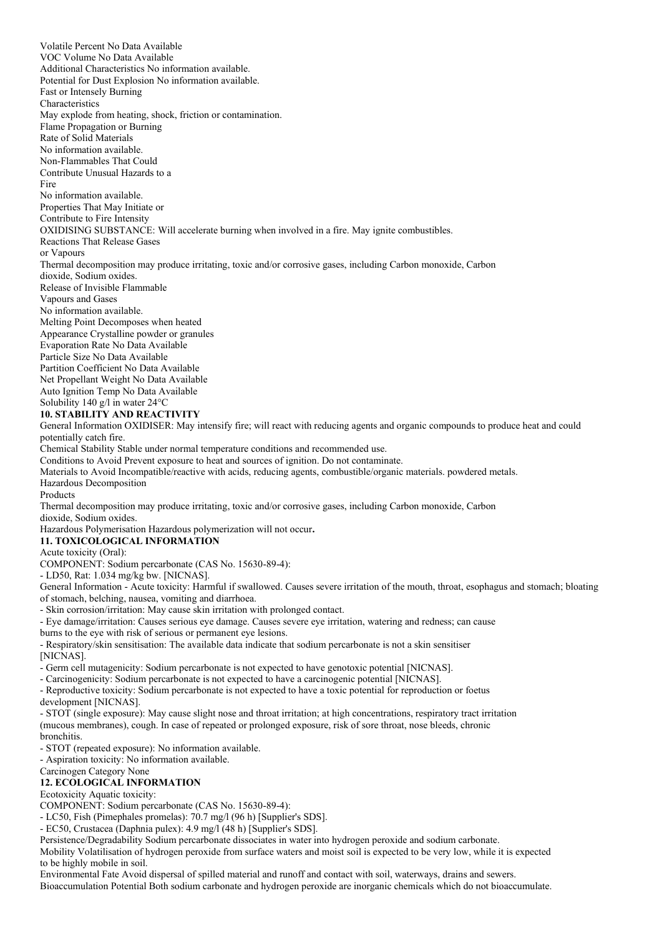Volatile Percent No Data Available VOC Volume No Data Available Additional Characteristics No information available. Potential for Dust Explosion No information available. Fast or Intensely Burning Characteristics May explode from heating, shock, friction or contamination. Flame Propagation or Burning Rate of Solid Materials No information available. Non-Flammables That Could Contribute Unusual Hazards to a Fire No information available. Properties That May Initiate or Contribute to Fire Intensity OXIDISING SUBSTANCE: Will accelerate burning when involved in a fire. May ignite combustibles. Reactions That Release Gases or Vapours Thermal decomposition may produce irritating, toxic and/or corrosive gases, including Carbon monoxide, Carbon dioxide, Sodium oxides. Release of Invisible Flammable Vapours and Gases No information available. Melting Point Decomposes when heated Appearance Crystalline powder or granules Evaporation Rate No Data Available Particle Size No Data Available Partition Coefficient No Data Available Net Propellant Weight No Data Available Auto Ignition Temp No Data Available Solubility 140 g/l in water 24°C **10. STABILITY AND REACTIVITY** General Information OXIDISER: May intensify fire; will react with reducing agents and organic compounds to produce heat and could potentially catch fire. Chemical Stability Stable under normal temperature conditions and recommended use. Conditions to Avoid Prevent exposure to heat and sources of ignition. Do not contaminate. Materials to Avoid Incompatible/reactive with acids, reducing agents, combustible/organic materials. powdered metals. Hazardous Decomposition Products Thermal decomposition may produce irritating, toxic and/or corrosive gases, including Carbon monoxide, Carbon dioxide, Sodium oxides. Hazardous Polymerisation Hazardous polymerization will not occur**. 11. TOXICOLOGICAL INFORMATION** Acute toxicity (Oral): COMPONENT: Sodium percarbonate (CAS No. 15630-89-4): - LD50, Rat: 1.034 mg/kg bw. [NICNAS]. General Information - Acute toxicity: Harmful if swallowed. Causes severe irritation of the mouth, throat, esophagus and stomach; bloating of stomach, belching, nausea, vomiting and diarrhoea. - Skin corrosion/irritation: May cause skin irritation with prolonged contact. - Eye damage/irritation: Causes serious eye damage. Causes severe eye irritation, watering and redness; can cause burns to the eye with risk of serious or permanent eye lesions. - Respiratory/skin sensitisation: The available data indicate that sodium percarbonate is not a skin sensitiser [NICNAS]. - Germ cell mutagenicity: Sodium percarbonate is not expected to have genotoxic potential [NICNAS]. - Carcinogenicity: Sodium percarbonate is not expected to have a carcinogenic potential [NICNAS]. - Reproductive toxicity: Sodium percarbonate is not expected to have a toxic potential for reproduction or foetus development [NICNAS]. - STOT (single exposure): May cause slight nose and throat irritation; at high concentrations, respiratory tract irritation (mucous membranes), cough. In case of repeated or prolonged exposure, risk of sore throat, nose bleeds, chronic bronchitis. - STOT (repeated exposure): No information available. - Aspiration toxicity: No information available. Carcinogen Category None **12. ECOLOGICAL INFORMATION** Ecotoxicity Aquatic toxicity: COMPONENT: Sodium percarbonate (CAS No. 15630-89-4): - LC50, Fish (Pimephales promelas): 70.7 mg/l (96 h) [Supplier's SDS]. - EC50, Crustacea (Daphnia pulex): 4.9 mg/l (48 h) [Supplier's SDS]. Persistence/Degradability Sodium percarbonate dissociates in water into hydrogen peroxide and sodium carbonate. Mobility Volatilisation of hydrogen peroxide from surface waters and moist soil is expected to be very low, while it is expected to be highly mobile in soil.

Environmental Fate Avoid dispersal of spilled material and runoff and contact with soil, waterways, drains and sewers.

Bioaccumulation Potential Both sodium carbonate and hydrogen peroxide are inorganic chemicals which do not bioaccumulate.